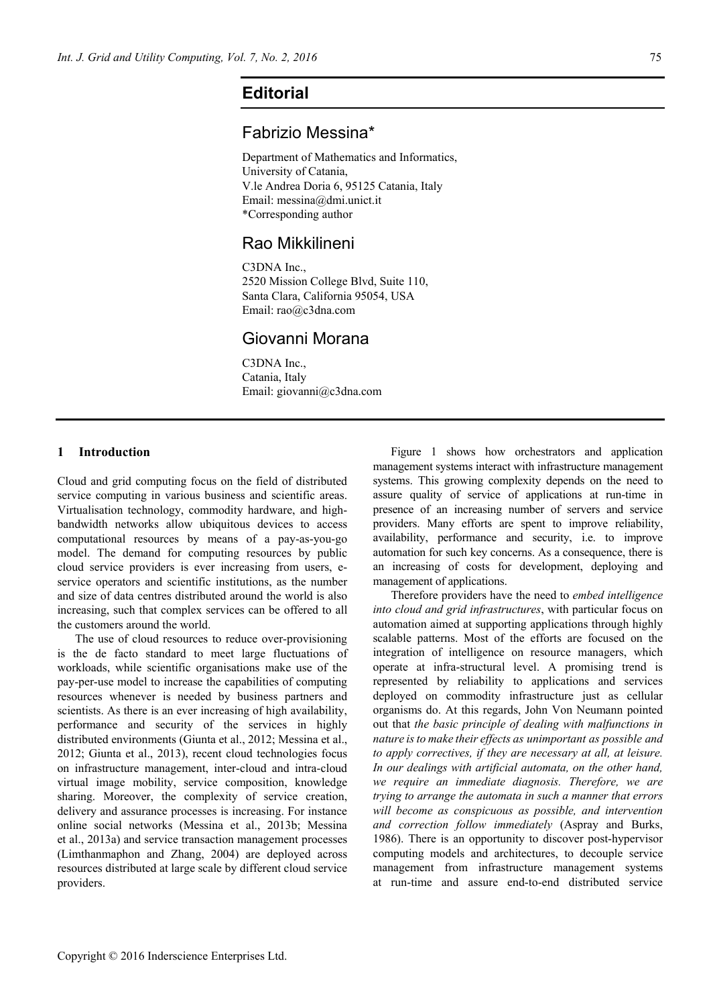# **Editorial**

### Fabrizio Messina\*

Department of Mathematics and Informatics, University of Catania, V.le Andrea Doria 6, 95125 Catania, Italy Email: messina@dmi.unict.it \*Corresponding author

## Rao Mikkilineni

C3DNA Inc., 2520 Mission College Blvd, Suite 110, Santa Clara, California 95054, USA Email: rao@c3dna.com

### Giovanni Morana

C3DNA Inc., Catania, Italy Email: giovanni@c3dna.com

### **1 Introduction**

Cloud and grid computing focus on the field of distributed service computing in various business and scientific areas. Virtualisation technology, commodity hardware, and highbandwidth networks allow ubiquitous devices to access computational resources by means of a pay-as-you-go model. The demand for computing resources by public cloud service providers is ever increasing from users, eservice operators and scientific institutions, as the number and size of data centres distributed around the world is also increasing, such that complex services can be offered to all the customers around the world.

The use of cloud resources to reduce over-provisioning is the de facto standard to meet large fluctuations of workloads, while scientific organisations make use of the pay-per-use model to increase the capabilities of computing resources whenever is needed by business partners and scientists. As there is an ever increasing of high availability, performance and security of the services in highly distributed environments (Giunta et al., 2012; Messina et al., 2012; Giunta et al., 2013), recent cloud technologies focus on infrastructure management, inter-cloud and intra-cloud virtual image mobility, service composition, knowledge sharing. Moreover, the complexity of service creation, delivery and assurance processes is increasing. For instance online social networks (Messina et al., 2013b; Messina et al., 2013a) and service transaction management processes (Limthanmaphon and Zhang, 2004) are deployed across resources distributed at large scale by different cloud service providers.

Figure 1 shows how orchestrators and application management systems interact with infrastructure management systems. This growing complexity depends on the need to assure quality of service of applications at run-time in presence of an increasing number of servers and service providers. Many efforts are spent to improve reliability, availability, performance and security, i.e. to improve automation for such key concerns. As a consequence, there is an increasing of costs for development, deploying and management of applications.

Therefore providers have the need to *embed intelligence into cloud and grid infrastructures*, with particular focus on automation aimed at supporting applications through highly scalable patterns. Most of the efforts are focused on the integration of intelligence on resource managers, which operate at infra-structural level. A promising trend is represented by reliability to applications and services deployed on commodity infrastructure just as cellular organisms do. At this regards, John Von Neumann pointed out that *the basic principle of dealing with malfunctions in nature isto make their effects as unimportant as possible and to apply correctives, if they are necessary at all, at leisure. In our dealings with artificial automata, on the other hand, we require an immediate diagnosis. Therefore, we are trying to arrange the automata in such a manner that errors will become as conspicuous as possible, and intervention and correction follow immediately* (Aspray and Burks, 1986). There is an opportunity to discover post-hypervisor computing models and architectures, to decouple service management from infrastructure management systems at run-time and assure end-to-end distributed service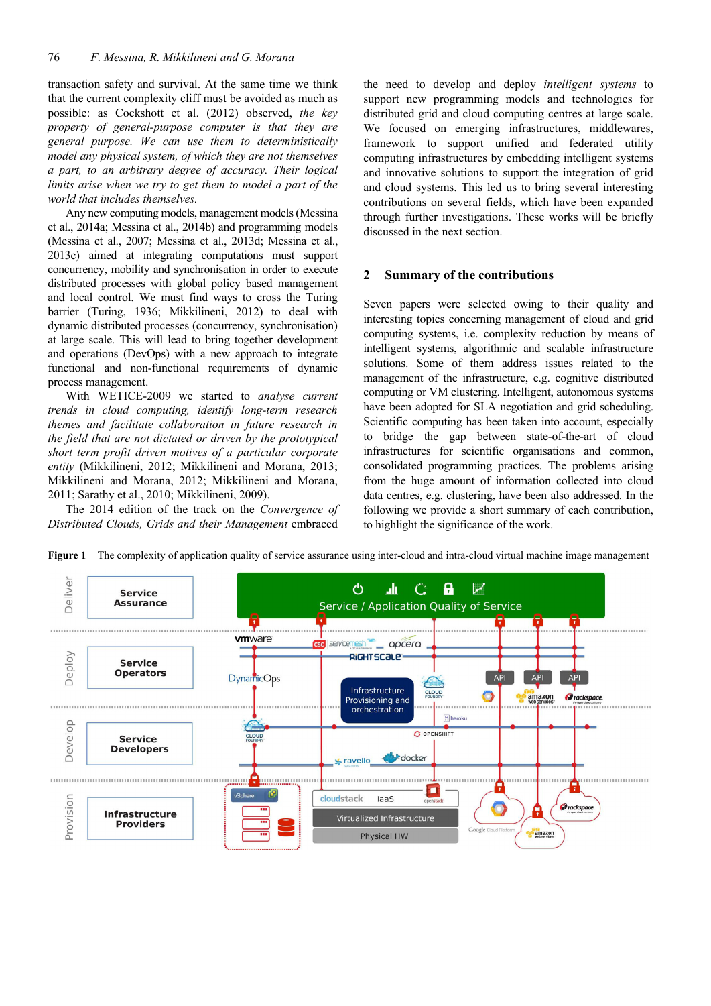transaction safety and survival. At the same time we think that the current complexity cliff must be avoided as much as possible: as Cockshott et al. (2012) observed, *the key property of general-purpose computer is that they are general purpose. We can use them to deterministically model any physical system, of which they are not themselves a part, to an arbitrary degree of accuracy. Their logical limits arise when we try to get them to model a part of the world that includes themselves.* 

Any new computing models, management models(Messina et al., 2014a; Messina et al., 2014b) and programming models (Messina et al., 2007; Messina et al., 2013d; Messina et al., 2013c) aimed at integrating computations must support concurrency, mobility and synchronisation in order to execute distributed processes with global policy based management and local control. We must find ways to cross the Turing barrier (Turing, 1936; Mikkilineni, 2012) to deal with dynamic distributed processes (concurrency, synchronisation) at large scale. This will lead to bring together development and operations (DevOps) with a new approach to integrate functional and non-functional requirements of dynamic process management.

With WETICE-2009 we started to *analyse current trends in cloud computing, identify long-term research themes and facilitate collaboration in future research in the field that are not dictated or driven by the prototypical short term profit driven motives of a particular corporate entity* (Mikkilineni, 2012; Mikkilineni and Morana, 2013; Mikkilineni and Morana, 2012; Mikkilineni and Morana, 2011; Sarathy et al., 2010; Mikkilineni, 2009).

The 2014 edition of the track on the *Convergence of Distributed Clouds, Grids and their Management* embraced

the need to develop and deploy *intelligent systems* to support new programming models and technologies for distributed grid and cloud computing centres at large scale. We focused on emerging infrastructures, middlewares, framework to support unified and federated utility computing infrastructures by embedding intelligent systems and innovative solutions to support the integration of grid and cloud systems. This led us to bring several interesting contributions on several fields, which have been expanded through further investigations. These works will be briefly discussed in the next section.

### **2 Summary of the contributions**

Seven papers were selected owing to their quality and interesting topics concerning management of cloud and grid computing systems, i.e. complexity reduction by means of intelligent systems, algorithmic and scalable infrastructure solutions. Some of them address issues related to the management of the infrastructure, e.g. cognitive distributed computing or VM clustering. Intelligent, autonomous systems have been adopted for SLA negotiation and grid scheduling. Scientific computing has been taken into account, especially to bridge the gap between state-of-the-art of cloud infrastructures for scientific organisations and common, consolidated programming practices. The problems arising from the huge amount of information collected into cloud data centres, e.g. clustering, have been also addressed. In the following we provide a short summary of each contribution, to highlight the significance of the work.



**Figure 1** The complexity of application quality of service assurance using inter-cloud and intra-cloud virtual machine image management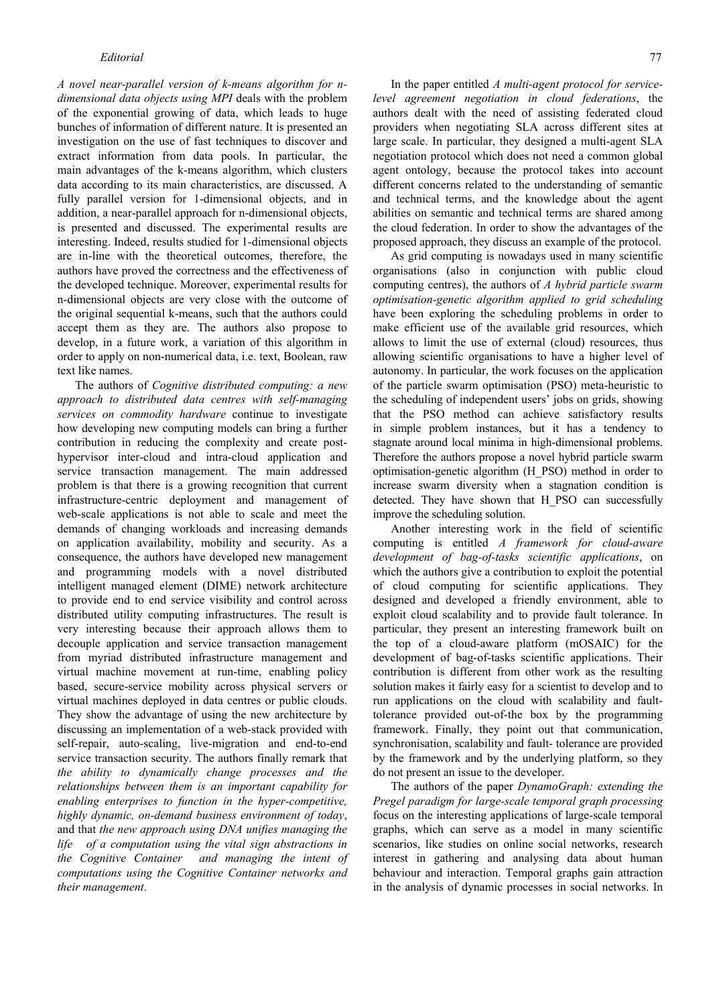*A novel near-parallel version of k-means algorithm for ndimensional data objects using MPI* deals with the problem of the exponential growing of data, which leads to huge bunches of information of different nature. It is presented an investigation on the use of fast techniques to discover and extract information from data pools. In particular, the main advantages of the k-means algorithm, which clusters data according to its main characteristics, are discussed. A fully parallel version for 1-dimensional objects, and in addition, a near-parallel approach for n-dimensional objects, is presented and discussed. The experimental results are interesting. Indeed, results studied for 1-dimensional objects are in-line with the theoretical outcomes, therefore, the authors have proved the correctness and the effectiveness of the developed technique. Moreover, experimental results for n-dimensional objects are very close with the outcome of the original sequential k-means, such that the authors could accept them as they are. The authors also propose to develop, in a future work, a variation of this algorithm in order to apply on non-numerical data, i.e. text, Boolean, raw text like names.

The authors of *Cognitive distributed computing: a new approach to distributed data centres with self-managing services on commodity hardware* continue to investigate how developing new computing models can bring a further contribution in reducing the complexity and create posthypervisor inter-cloud and intra-cloud application and service transaction management. The main addressed problem is that there is a growing recognition that current infrastructure-centric deployment and management of web-scale applications is not able to scale and meet the demands of changing workloads and increasing demands on application availability, mobility and security. As a consequence, the authors have developed new management and programming models with a novel distributed intelligent managed element (DIME) network architecture to provide end to end service visibility and control across distributed utility computing infrastructures. The result is very interesting because their approach allows them to decouple application and service transaction management from myriad distributed infrastructure management and virtual machine movement at run-time, enabling policy based, secure-service mobility across physical servers or virtual machines deployed in data centres or public clouds. They show the advantage of using the new architecture by discussing an implementation of a web-stack provided with self-repair, auto-scaling, live-migration and end-to-end service transaction security. The authors finally remark that *the ability to dynamically change processes and the relationships between them is an important capability for enabling enterprises to function in the hyper-competitive, highly dynamic, on-demand business environment of today*, and that *the new approach using DNA unifies managing the life of a computation using the vital sign abstractions in the Cognitive Container and managing the intent of computations using the Cognitive Container networks and their management*.

In the paper entitled *A multi-agent protocol for servicelevel agreement negotiation in cloud federations*, the authors dealt with the need of assisting federated cloud providers when negotiating SLA across different sites at large scale. In particular, they designed a multi-agent SLA negotiation protocol which does not need a common global agent ontology, because the protocol takes into account different concerns related to the understanding of semantic and technical terms, and the knowledge about the agent abilities on semantic and technical terms are shared among the cloud federation. In order to show the advantages of the proposed approach, they discuss an example of the protocol.

As grid computing is nowadays used in many scientific organisations (also in conjunction with public cloud computing centres), the authors of *A hybrid particle swarm optimisation-genetic algorithm applied to grid scheduling* have been exploring the scheduling problems in order to make efficient use of the available grid resources, which allows to limit the use of external (cloud) resources, thus allowing scientific organisations to have a higher level of autonomy. In particular, the work focuses on the application of the particle swarm optimisation (PSO) meta-heuristic to the scheduling of independent users' jobs on grids, showing that the PSO method can achieve satisfactory results in simple problem instances, but it has a tendency to stagnate around local minima in high-dimensional problems. Therefore the authors propose a novel hybrid particle swarm optimisation-genetic algorithm (H\_PSO) method in order to increase swarm diversity when a stagnation condition is detected. They have shown that H\_PSO can successfully improve the scheduling solution.

Another interesting work in the field of scientific computing is entitled *A framework for cloud-aware development of bag-of-tasks scientific applications*, on which the authors give a contribution to exploit the potential of cloud computing for scientific applications. They designed and developed a friendly environment, able to exploit cloud scalability and to provide fault tolerance. In particular, they present an interesting framework built on the top of a cloud-aware platform (mOSAIC) for the development of bag-of-tasks scientific applications. Their contribution is different from other work as the resulting solution makes it fairly easy for a scientist to develop and to run applications on the cloud with scalability and faulttolerance provided out-of-the box by the programming framework. Finally, they point out that communication, synchronisation, scalability and fault- tolerance are provided by the framework and by the underlying platform, so they do not present an issue to the developer.

The authors of the paper *DynamoGraph: extending the Pregel paradigm for large-scale temporal graph processing* focus on the interesting applications of large-scale temporal graphs, which can serve as a model in many scientific scenarios, like studies on online social networks, research interest in gathering and analysing data about human behaviour and interaction. Temporal graphs gain attraction in the analysis of dynamic processes in social networks. In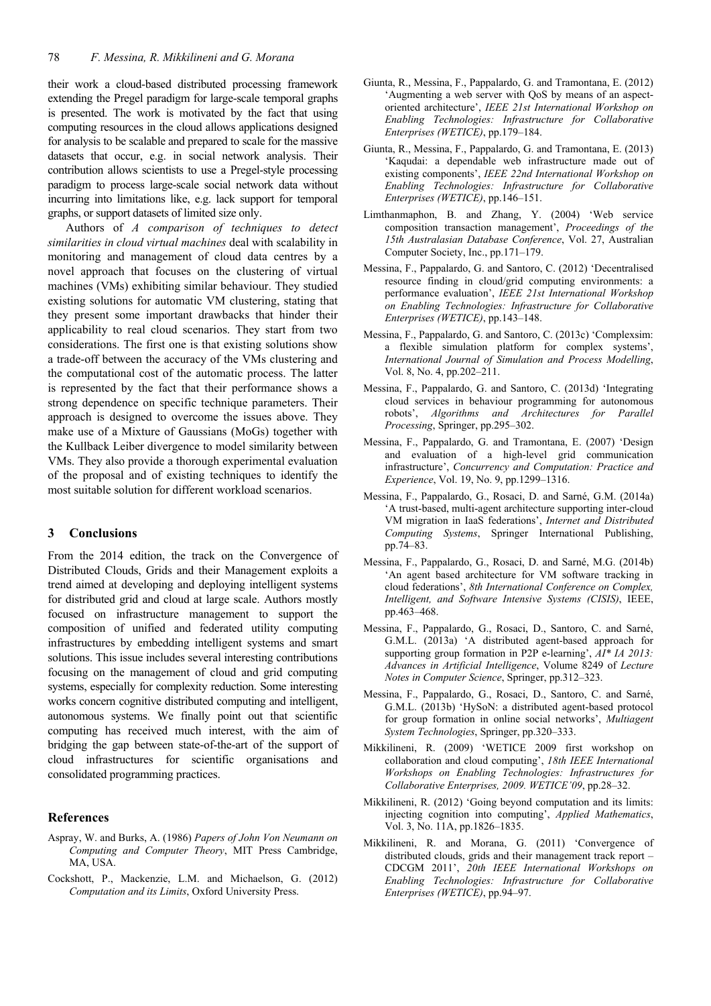their work a cloud-based distributed processing framework extending the Pregel paradigm for large-scale temporal graphs is presented. The work is motivated by the fact that using computing resources in the cloud allows applications designed for analysis to be scalable and prepared to scale for the massive datasets that occur, e.g. in social network analysis. Their contribution allows scientists to use a Pregel-style processing paradigm to process large-scale social network data without incurring into limitations like, e.g. lack support for temporal graphs, or support datasets of limited size only.

Authors of *A comparison of techniques to detect similarities in cloud virtual machines* deal with scalability in monitoring and management of cloud data centres by a novel approach that focuses on the clustering of virtual machines (VMs) exhibiting similar behaviour. They studied existing solutions for automatic VM clustering, stating that they present some important drawbacks that hinder their applicability to real cloud scenarios. They start from two considerations. The first one is that existing solutions show a trade-off between the accuracy of the VMs clustering and the computational cost of the automatic process. The latter is represented by the fact that their performance shows a strong dependence on specific technique parameters. Their approach is designed to overcome the issues above. They make use of a Mixture of Gaussians (MoGs) together with the Kullback Leiber divergence to model similarity between VMs. They also provide a thorough experimental evaluation of the proposal and of existing techniques to identify the most suitable solution for different workload scenarios.

#### **3 Conclusions**

From the 2014 edition, the track on the Convergence of Distributed Clouds, Grids and their Management exploits a trend aimed at developing and deploying intelligent systems for distributed grid and cloud at large scale. Authors mostly focused on infrastructure management to support the composition of unified and federated utility computing infrastructures by embedding intelligent systems and smart solutions. This issue includes several interesting contributions focusing on the management of cloud and grid computing systems, especially for complexity reduction. Some interesting works concern cognitive distributed computing and intelligent, autonomous systems. We finally point out that scientific computing has received much interest, with the aim of bridging the gap between state-of-the-art of the support of cloud infrastructures for scientific organisations and consolidated programming practices.

#### **References**

- Aspray, W. and Burks, A. (1986) *Papers of John Von Neumann on Computing and Computer Theory*, MIT Press Cambridge, MA, USA.
- Cockshott, P., Mackenzie, L.M. and Michaelson, G. (2012) *Computation and its Limits*, Oxford University Press.
- Giunta, R., Messina, F., Pappalardo, G. and Tramontana, E. (2012) 'Augmenting a web server with QoS by means of an aspectoriented architecture', *IEEE 21st International Workshop on Enabling Technologies: Infrastructure for Collaborative Enterprises (WETICE)*, pp.179–184.
- Giunta, R., Messina, F., Pappalardo, G. and Tramontana, E. (2013) 'Kaqudai: a dependable web infrastructure made out of existing components', *IEEE 22nd International Workshop on Enabling Technologies: Infrastructure for Collaborative Enterprises (WETICE)*, pp.146–151.
- Limthanmaphon, B. and Zhang, Y. (2004) 'Web service composition transaction management', *Proceedings of the 15th Australasian Database Conference*, Vol. 27, Australian Computer Society, Inc., pp.171–179.
- Messina, F., Pappalardo, G. and Santoro, C. (2012) 'Decentralised resource finding in cloud/grid computing environments: a performance evaluation', *IEEE 21st International Workshop on Enabling Technologies: Infrastructure for Collaborative Enterprises (WETICE)*, pp.143–148.
- Messina, F., Pappalardo, G. and Santoro, C. (2013c) 'Complexsim: a flexible simulation platform for complex systems', *International Journal of Simulation and Process Modelling*, Vol. 8, No. 4, pp.202–211.
- Messina, F., Pappalardo, G. and Santoro, C. (2013d) 'Integrating cloud services in behaviour programming for autonomous robots', *Algorithms and Architectures for Parallel Processing*, Springer, pp.295–302.
- Messina, F., Pappalardo, G. and Tramontana, E. (2007) 'Design and evaluation of a high-level grid communication infrastructure', *Concurrency and Computation: Practice and Experience*, Vol. 19, No. 9, pp.1299–1316.
- Messina, F., Pappalardo, G., Rosaci, D. and Sarné, G.M. (2014a) 'A trust-based, multi-agent architecture supporting inter-cloud VM migration in IaaS federations', *Internet and Distributed Computing Systems*, Springer International Publishing, pp.74–83.
- Messina, F., Pappalardo, G., Rosaci, D. and Sarné, M.G. (2014b) 'An agent based architecture for VM software tracking in cloud federations', *8th International Conference on Complex, Intelligent, and Software Intensive Systems (CISIS)*, IEEE, pp.463–468.
- Messina, F., Pappalardo, G., Rosaci, D., Santoro, C. and Sarné, G.M.L. (2013a) 'A distributed agent-based approach for supporting group formation in P2P e-learning', *AI\* IA 2013: Advances in Artificial Intelligence*, Volume 8249 of *Lecture Notes in Computer Science*, Springer, pp.312–323.
- Messina, F., Pappalardo, G., Rosaci, D., Santoro, C. and Sarné, G.M.L. (2013b) 'HySoN: a distributed agent-based protocol for group formation in online social networks', *Multiagent System Technologies*, Springer, pp.320–333.
- Mikkilineni, R. (2009) 'WETICE 2009 first workshop on collaboration and cloud computing', *18th IEEE International Workshops on Enabling Technologies: Infrastructures for Collaborative Enterprises, 2009. WETICE'09*, pp.28–32.
- Mikkilineni, R. (2012) 'Going beyond computation and its limits: injecting cognition into computing', *Applied Mathematics*, Vol. 3, No. 11A, pp.1826–1835.
- Mikkilineni, R. and Morana, G. (2011) 'Convergence of distributed clouds, grids and their management track report – CDCGM 2011', *20th IEEE International Workshops on Enabling Technologies: Infrastructure for Collaborative Enterprises (WETICE)*, pp.94–97.